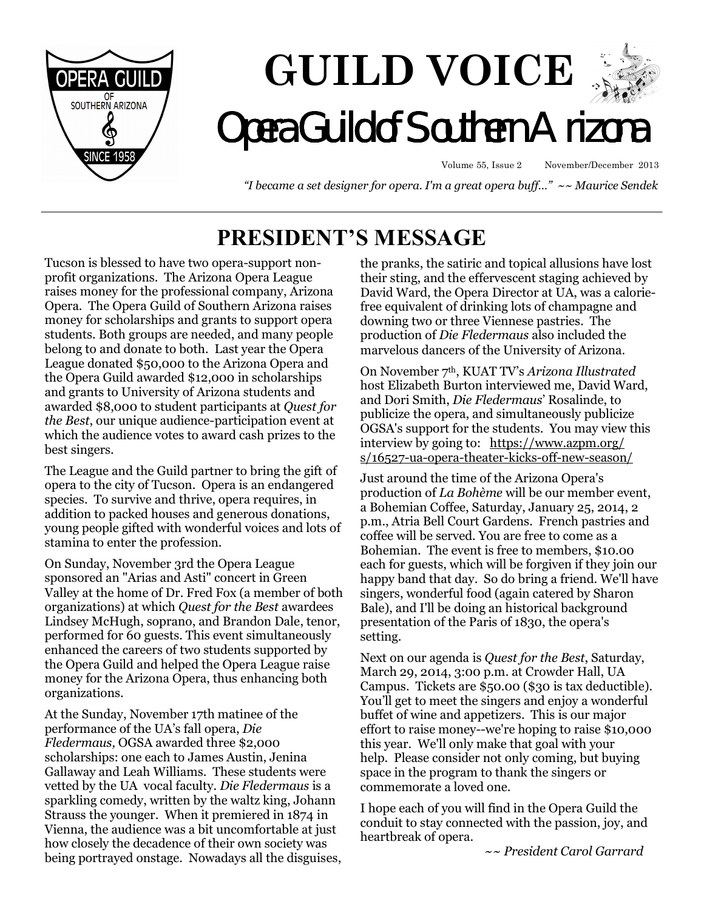

# **GUILD VOICE Opera Guild of Southern Arizon**

Volume 55, Issue 2 November/December 2013

 *"I became a set designer for opera. I'm a great opera buff…" ~~ Maurice Sendek* 

# **PRESIDENT'S MESSAGE**

Tucson is blessed to have two opera-support nonprofit organizations. The Arizona Opera League raises money for the professional company, Arizona Opera. The Opera Guild of Southern Arizona raises money for scholarships and grants to support opera students. Both groups are needed, and many people belong to and donate to both. Last year the Opera League donated \$50,000 to the Arizona Opera and the Opera Guild awarded \$12,000 in scholarships and grants to University of Arizona students and awarded \$8,000 to student participants at *Quest for the Best*, our unique audience-participation event at which the audience votes to award cash prizes to the best singers.

The League and the Guild partner to bring the gift of opera to the city of Tucson. Opera is an endangered species. To survive and thrive, opera requires, in addition to packed houses and generous donations, young people gifted with wonderful voices and lots of stamina to enter the profession.

On Sunday, November 3rd the Opera League sponsored an "Arias and Asti" concert in Green Valley at the home of Dr. Fred Fox (a member of both organizations) at which *Quest for the Best* awardees Lindsey McHugh, soprano, and Brandon Dale, tenor, performed for 60 guests. This event simultaneously enhanced the careers of two students supported by the Opera Guild and helped the Opera League raise money for the Arizona Opera, thus enhancing both organizations.

At the Sunday, November 17th matinee of the performance of the UA's fall opera, *Die Fledermaus,* OGSA awarded three \$2,000 scholarships: one each to James Austin, Jenina Gallaway and Leah Williams. These students were vetted by the UA vocal faculty. *Die Fledermaus* is a sparkling comedy, written by the waltz king, Johann Strauss the younger. When it premiered in 1874 in Vienna, the audience was a bit uncomfortable at just how closely the decadence of their own society was being portrayed onstage. Nowadays all the disguises, the pranks, the satiric and topical allusions have lost their sting, and the effervescent staging achieved by David Ward, the Opera Director at UA, was a caloriefree equivalent of drinking lots of champagne and downing two or three Viennese pastries. The production of *Die Fledermaus* also included the marvelous dancers of the University of Arizona.

On November 7th, KUAT TV's *Arizona Illustrated*  host Elizabeth Burton interviewed me, David Ward, and Dori Smith, *Die Fledermaus*' Rosalinde, to publicize the opera, and simultaneously publicize OGSA's support for the students. You may view this interview by going to: https://www.azpm.org/ s/16527-ua-opera-theater-kicks-off-new-season/

Just around the time of the Arizona Opera's production of *La Bohème* will be our member event, a Bohemian Coffee, Saturday, January 25, 2014, 2 p.m., Atria Bell Court Gardens. French pastries and coffee will be served. You are free to come as a Bohemian. The event is free to members, \$10.00 each for guests, which will be forgiven if they join our happy band that day. So do bring a friend. We'll have singers, wonderful food (again catered by Sharon Bale), and I'll be doing an historical background presentation of the Paris of 1830, the opera's setting.

Next on our agenda is *Quest for the Best*, Saturday, March 29, 2014, 3:00 p.m. at Crowder Hall, UA Campus. Tickets are \$50.00 (\$30 is tax deductible). You'll get to meet the singers and enjoy a wonderful buffet of wine and appetizers. This is our major effort to raise money--we're hoping to raise \$10,000 this year. We'll only make that goal with your help. Please consider not only coming, but buying space in the program to thank the singers or commemorate a loved one.

I hope each of you will find in the Opera Guild the conduit to stay connected with the passion, joy, and heartbreak of opera.

*~~ President Carol Garrard*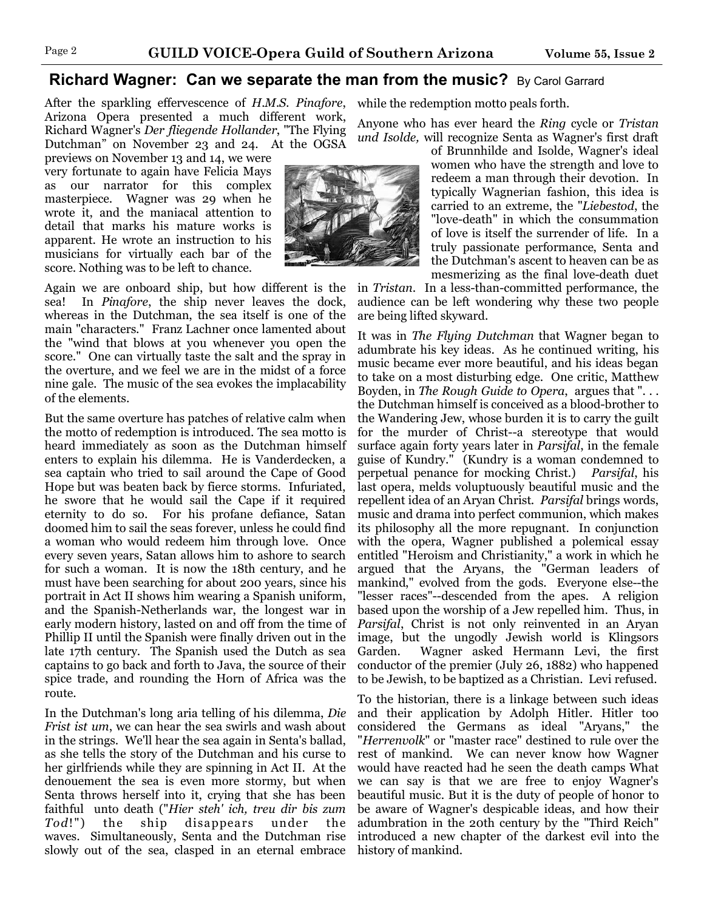#### **Richard Wagner: Can we separate the man from the music?** By Carol Garrard

After the sparkling effervescence of *H.M.S. Pinafore*, Arizona Opera presented a much different work, Richard Wagner's *Der fliegende Hollander*, "The Flying Dutchman" on November 23 and 24. At the OGSA

previews on November 13 and 14, we were very fortunate to again have Felicia Mays as our narrator for this complex masterpiece. Wagner was 29 when he wrote it, and the maniacal attention to detail that marks his mature works is apparent. He wrote an instruction to his musicians for virtually each bar of the score. Nothing was to be left to chance.

Again we are onboard ship, but how different is the sea! In *Pinafore*, the ship never leaves the dock, whereas in the Dutchman, the sea itself is one of the main "characters." Franz Lachner once lamented about the "wind that blows at you whenever you open the score." One can virtually taste the salt and the spray in the overture, and we feel we are in the midst of a force nine gale. The music of the sea evokes the implacability of the elements.

But the same overture has patches of relative calm when the motto of redemption is introduced. The sea motto is heard immediately as soon as the Dutchman himself enters to explain his dilemma. He is Vanderdecken, a sea captain who tried to sail around the Cape of Good Hope but was beaten back by fierce storms. Infuriated, he swore that he would sail the Cape if it required eternity to do so. For his profane defiance, Satan doomed him to sail the seas forever, unless he could find a woman who would redeem him through love. Once every seven years, Satan allows him to ashore to search for such a woman. It is now the 18th century, and he must have been searching for about 200 years, since his portrait in Act II shows him wearing a Spanish uniform, and the Spanish-Netherlands war, the longest war in early modern history, lasted on and off from the time of Phillip II until the Spanish were finally driven out in the late 17th century. The Spanish used the Dutch as sea captains to go back and forth to Java, the source of their spice trade, and rounding the Horn of Africa was the route.

In the Dutchman's long aria telling of his dilemma, *Die Frist ist um*, we can hear the sea swirls and wash about in the strings. We'll hear the sea again in Senta's ballad, as she tells the story of the Dutchman and his curse to her girlfriends while they are spinning in Act II. At the denouement the sea is even more stormy, but when Senta throws herself into it, crying that she has been faithful unto death ("*Hier steh' ich, treu dir bis zum Tod*!") the ship disappears under the waves. Simultaneously, Senta and the Dutchman rise slowly out of the sea, clasped in an eternal embrace

while the redemption motto peals forth.

Anyone who has ever heard the *Ring* cycle or *Tristan und Isolde,* will recognize Senta as Wagner's first draft

of Brunnhilde and Isolde, Wagner's ideal women who have the strength and love to redeem a man through their devotion. In typically Wagnerian fashion, this idea is carried to an extreme, the "*Liebestod*, the "love-death" in which the consummation of love is itself the surrender of life. In a truly passionate performance, Senta and the Dutchman's ascent to heaven can be as mesmerizing as the final love-death duet

in *Tristan*. In a less-than-committed performance, the audience can be left wondering why these two people are being lifted skyward.

It was in *The Flying Dutchman* that Wagner began to adumbrate his key ideas. As he continued writing, his music became ever more beautiful, and his ideas began to take on a most disturbing edge. One critic, Matthew Boyden, in *The Rough Guide to Opera*, argues that ". . . the Dutchman himself is conceived as a blood-brother to the Wandering Jew, whose burden it is to carry the guilt for the murder of Christ--a stereotype that would surface again forty years later in *Parsifal*, in the female guise of Kundry." (Kundry is a woman condemned to perpetual penance for mocking Christ.) *Parsifal*, his last opera, melds voluptuously beautiful music and the repellent idea of an Aryan Christ. *Parsifal* brings words, music and drama into perfect communion, which makes its philosophy all the more repugnant. In conjunction with the opera, Wagner published a polemical essay entitled "Heroism and Christianity," a work in which he argued that the Aryans, the "German leaders of mankind," evolved from the gods. Everyone else--the "lesser races"--descended from the apes. A religion based upon the worship of a Jew repelled him. Thus, in *Parsifal*, Christ is not only reinvented in an Aryan image, but the ungodly Jewish world is Klingsors Garden. Wagner asked Hermann Levi, the first conductor of the premier (July 26, 1882) who happened to be Jewish, to be baptized as a Christian. Levi refused.

To the historian, there is a linkage between such ideas and their application by Adolph Hitler. Hitler too considered the Germans as ideal "Aryans," the "*Herrenvolk*" or "master race" destined to rule over the rest of mankind. We can never know how Wagner would have reacted had he seen the death camps What we can say is that we are free to enjoy Wagner's beautiful music. But it is the duty of people of honor to be aware of Wagner's despicable ideas, and how their adumbration in the 20th century by the "Third Reich" introduced a new chapter of the darkest evil into the history of mankind.

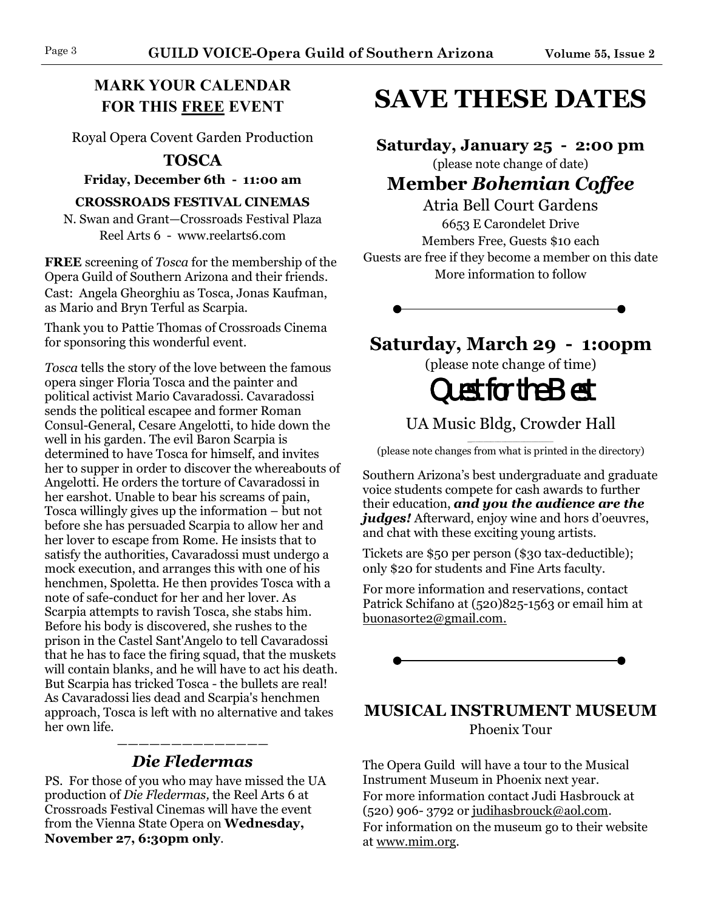### **MARK YOUR CALENDAR FOR THIS FREE EVENT**

Royal Opera Covent Garden Production

#### **TOSCA**

**Friday, December 6th - 11:00 am**

#### **CROSSROADS FESTIVAL CINEMAS**

N. Swan and Grant—Crossroads Festival Plaza Reel Arts 6 - www.reelarts6.com

**FREE** screening of *Tosca* for the membership of the Opera Guild of Southern Arizona and their friends. Cast: Angela Gheorghiu as Tosca, Jonas Kaufman, as Mario and Bryn Terful as Scarpia.

Thank you to Pattie Thomas of Crossroads Cinema for sponsoring this wonderful event.

*Tosca* tells the story of the love between the famous opera singer Floria Tosca and the painter and political activist Mario Cavaradossi. Cavaradossi sends the political escapee and former Roman Consul-General, Cesare Angelotti, to hide down the well in his garden. The evil Baron Scarpia is determined to have Tosca for himself, and invites her to supper in order to discover the whereabouts of Angelotti. He orders the torture of Cavaradossi in her earshot. Unable to bear his screams of pain, Tosca willingly gives up the information – but not before she has persuaded Scarpia to allow her and her lover to escape from Rome. He insists that to satisfy the authorities, Cavaradossi must undergo a mock execution, and arranges this with one of his henchmen, Spoletta. He then provides Tosca with a note of safe-conduct for her and her lover. As Scarpia attempts to ravish Tosca, she stabs him. Before his body is discovered, she rushes to the prison in the Castel Sant'Angelo to tell Cavaradossi that he has to face the firing squad, that the muskets will contain blanks, and he will have to act his death. But Scarpia has tricked Tosca - the bullets are real! As Cavaradossi lies dead and Scarpia's henchmen approach, Tosca is left with no alternative and takes her own life.

#### —————————————— *Die Fledermas*

PS. For those of you who may have missed the UA production of *Die Fledermas,* the Reel Arts 6 at Crossroads Festival Cinemas will have the event from the Vienna State Opera on **Wednesday, November 27, 6:30pm only**.

# **SAVE THESE DATES**

## **Saturday, January 25 - 2:00 pm**

(please note change of date)

# **Member** *Bohemian Coffee*

Atria Bell Court Gardens 6653 E Carondelet Drive Members Free, Guests \$10 each Guests are free if they become a member on this date More information to follow

## **Saturday, March 29 - 1:oopm**

(please note change of time)

# Quest for the  $B$ est

UA Music Bldg, Crowder Hall

\_\_\_\_\_\_\_\_\_\_\_\_\_\_\_\_\_\_\_\_\_\_\_ (please note changes from what is printed in the directory)

Southern Arizona's best undergraduate and graduate voice students compete for cash awards to further their education, *and you the audience are the judges!* Afterward, enjoy wine and hors d'oeuvres, and chat with these exciting young artists.

Tickets are \$50 per person (\$30 tax-deductible); only \$20 for students and Fine Arts faculty.

For more information and reservations, contact Patrick Schifano at (520)825-1563 or email him at buonasorte2@gmail.com.



#### **MUSICAL INSTRUMENT MUSEUM** Phoenix Tour

The Opera Guild will have a tour to the Musical Instrument Museum in Phoenix next year. For more information contact Judi Hasbrouck at  $(520)$  906-3792 or judihasbrouck@aol.com. For information on the museum go to their website at www.mim.org.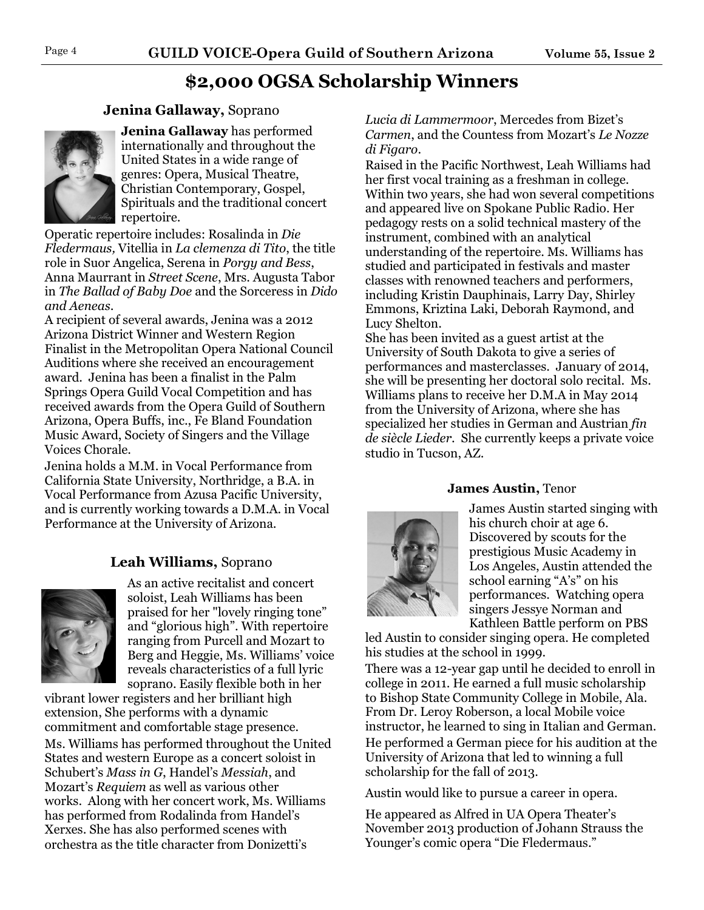## **\$2,000 OGSA Scholarship Winners**

#### **Jenina Gallaway,** Soprano



**Jenina Gallaway** has performed internationally and throughout the United States in a wide range of genres: Opera, Musical Theatre, Christian Contemporary, Gospel, Spirituals and the traditional concert repertoire.

Operatic repertoire includes: Rosalinda in *Die Fledermaus,* Vitellia in *La clemenza di Tito*, the title role in Suor Angelica, Serena in *Porgy and Bess*, Anna Maurrant in *Street Scene*, Mrs. Augusta Tabor in *The Ballad of Baby Doe* and the Sorceress in *Dido and Aeneas*.

A recipient of several awards, Jenina was a 2012 Arizona District Winner and Western Region Finalist in the Metropolitan Opera National Council Auditions where she received an encouragement award. Jenina has been a finalist in the Palm Springs Opera Guild Vocal Competition and has received awards from the Opera Guild of Southern Arizona, Opera Buffs, inc., Fe Bland Foundation Music Award, Society of Singers and the Village Voices Chorale.

Jenina holds a M.M. in Vocal Performance from California State University, Northridge, a B.A. in Vocal Performance from Azusa Pacific University, and is currently working towards a D.M.A. in Vocal Performance at the University of Arizona.

#### **Leah Williams,** Soprano



As an active recitalist and concert soloist, Leah Williams has been praised for her "lovely ringing tone" and "glorious high". With repertoire ranging from Purcell and Mozart to Berg and Heggie, Ms. Williams' voice reveals characteristics of a full lyric soprano. Easily flexible both in her

vibrant lower registers and her brilliant high extension, She performs with a dynamic commitment and comfortable stage presence. Ms. Williams has performed throughout the United States and western Europe as a concert soloist in Schubert's *Mass in G*, Handel's *Messiah*, and Mozart's *Requiem* as well as various other works. Along with her concert work, Ms. Williams has performed from Rodalinda from Handel's Xerxes. She has also performed scenes with orchestra as the title character from Donizetti's

*Lucia di Lammermoor*, Mercedes from Bizet's *Carmen*, and the Countess from Mozart's *Le Nozze di Figaro*.

Raised in the Pacific Northwest, Leah Williams had her first vocal training as a freshman in college. Within two years, she had won several competitions and appeared live on Spokane Public Radio. Her pedagogy rests on a solid technical mastery of the instrument, combined with an analytical understanding of the repertoire. Ms. Williams has studied and participated in festivals and master classes with renowned teachers and performers, including Kristin Dauphinais, Larry Day, Shirley Emmons, Kriztina Laki, Deborah Raymond, and Lucy Shelton.

She has been invited as a guest artist at the University of South Dakota to give a series of performances and masterclasses. January of 2014, she will be presenting her doctoral solo recital. Ms. Williams plans to receive her D.M.A in May 2014 from the University of Arizona, where she has specialized her studies in German and Austrian *fin de siècle Lieder*. She currently keeps a private voice studio in Tucson, AZ.

#### **James Austin,** Tenor



James Austin started singing with his church choir at age 6. Discovered by scouts for the prestigious Music Academy in Los Angeles, Austin attended the school earning "A's" on his performances. Watching opera singers Jessye Norman and Kathleen Battle perform on PBS

led Austin to consider singing opera. He completed his studies at the school in 1999.

There was a 12-year gap until he decided to enroll in college in 2011. He earned a full music scholarship to Bishop State Community College in Mobile, Ala. From Dr. Leroy Roberson, a local Mobile voice instructor, he learned to sing in Italian and German. He performed a German piece for his audition at the University of Arizona that led to winning a full scholarship for the fall of 2013.

Austin would like to pursue a career in opera.

He appeared as Alfred in UA Opera Theater's November 2013 production of Johann Strauss the Younger's comic opera "Die Fledermaus."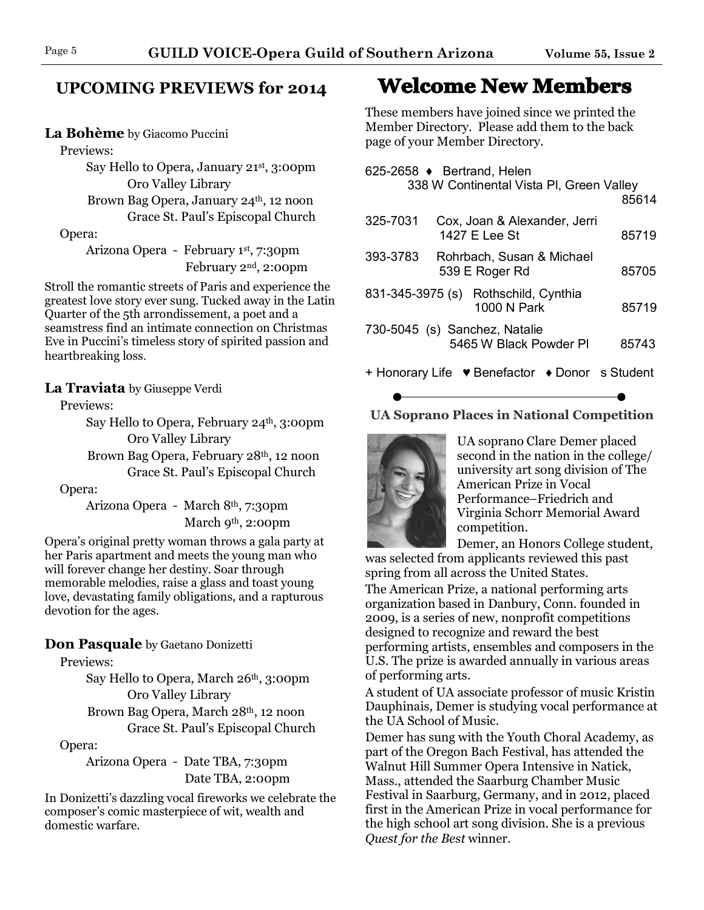#### **UPCOMING PREVIEWS for 2014**

#### **La Bohème** by Giacomo Puccini

Previews:

 Say Hello to Opera, January 21st, 3:00pm Oro Valley Library

Brown Bag Opera, January 24<sup>th</sup>, 12 noon Grace St. Paul's Episcopal Church

#### Opera:

 Arizona Opera - February 1st, 7:30pm February 2nd, 2:00pm

Stroll the romantic streets of Paris and experience the greatest love story ever sung. Tucked away in the Latin Quarter of the 5th arrondissement, a poet and a seamstress find an intimate connection on Christmas Eve in Puccini's timeless story of spirited passion and heartbreaking loss.

#### **La Traviata** by Giuseppe Verdi

Previews:

Say Hello to Opera, February 24<sup>th</sup>, 3:00pm Oro Valley Library Brown Bag Opera, February 28th, 12 noon Grace St. Paul's Episcopal Church

#### Opera:

 Arizona Opera - March 8th, 7:30pm March 9<sup>th</sup>, 2:00pm

Opera's original pretty woman throws a gala party at her Paris apartment and meets the young man who will forever change her destiny. Soar through memorable melodies, raise a glass and toast young love, devastating family obligations, and a rapturous devotion for the ages.

#### **Don Pasquale** by Gaetano Donizetti

Previews:

Say Hello to Opera, March 26<sup>th</sup>, 3:00pm Oro Valley Library Brown Bag Opera, March 28th, 12 noon Grace St. Paul's Episcopal Church

Opera:

 Arizona Opera - Date TBA, 7:30pm Date TBA, 2:00pm

In Donizetti's dazzling vocal fireworks we celebrate the composer's comic masterpiece of wit, wealth and domestic warfare.

## **Welcome New Members**

These members have joined since we printed the Member Directory. Please add them to the back page of your Member Directory.

| 625-2658 ♦ Bertrand, Helen                                       | 338 W Continental Vista PI, Green Valley            | 85614 |
|------------------------------------------------------------------|-----------------------------------------------------|-------|
| 325-7031                                                         | Cox, Joan & Alexander, Jerri<br>1427 E Lee St       | 85719 |
| 393-3783                                                         | Rohrbach, Susan & Michael<br>539 E Roger Rd         |       |
|                                                                  | 831-345-3975 (s) Rothschild, Cynthia<br>1000 N Park | 85719 |
| 730-5045 (s) Sanchez, Natalie<br>5465 W Black Powder PI<br>85743 |                                                     |       |
|                                                                  | + Honorary Life ♥ Benefactor ♦ Donor s Student      |       |

#### **UA Soprano Places in National Competition**



UA soprano Clare Demer placed second in the nation in the college/ university art song division of The American Prize in Vocal Performance–Friedrich and Virginia Schorr Memorial Award competition.

Demer, an Honors College student,

was selected from applicants reviewed this past spring from all across the United States.

The American Prize, a national performing arts organization based in Danbury, Conn. founded in 2009, is a series of new, nonprofit competitions designed to recognize and reward the best performing artists, ensembles and composers in the U.S. The prize is awarded annually in various areas of performing arts.

A student of UA associate professor of music Kristin Dauphinais, Demer is studying vocal performance at the UA School of Music.

Demer has sung with the Youth Choral Academy, as part of the Oregon Bach Festival, has attended the Walnut Hill Summer Opera Intensive in Natick, Mass., attended the Saarburg Chamber Music Festival in Saarburg, Germany, and in 2012, placed first in the American Prize in vocal performance for the high school art song division. She is a previous *Quest for the Best* winner.